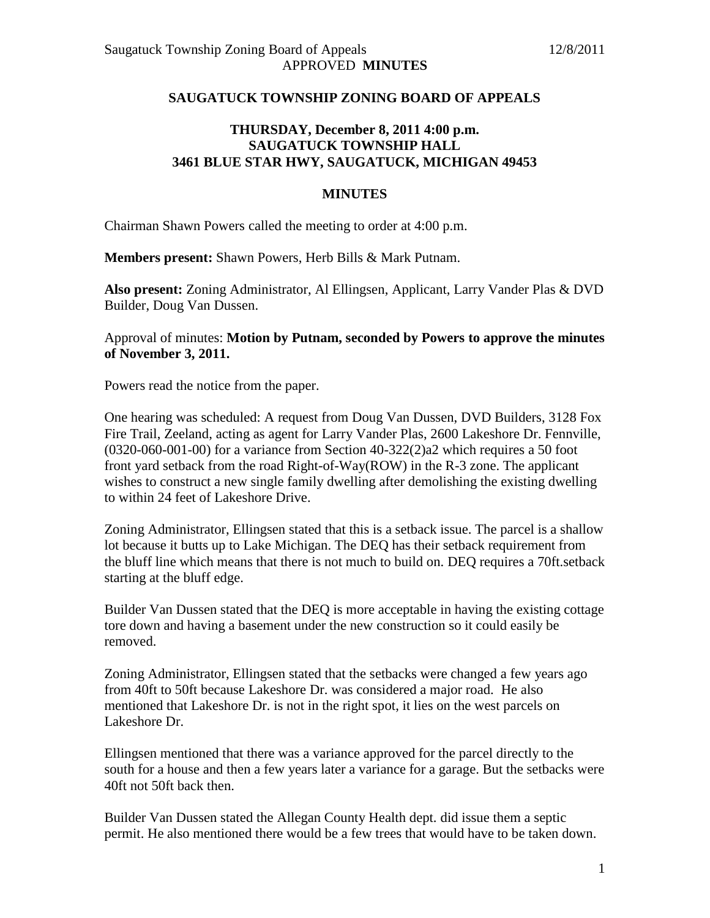## **SAUGATUCK TOWNSHIP ZONING BOARD OF APPEALS**

## **THURSDAY, December 8, 2011 4:00 p.m. SAUGATUCK TOWNSHIP HALL 3461 BLUE STAR HWY, SAUGATUCK, MICHIGAN 49453**

## **MINUTES**

Chairman Shawn Powers called the meeting to order at 4:00 p.m.

**Members present:** Shawn Powers, Herb Bills & Mark Putnam.

**Also present:** Zoning Administrator, Al Ellingsen, Applicant, Larry Vander Plas & DVD Builder, Doug Van Dussen.

Approval of minutes: **Motion by Putnam, seconded by Powers to approve the minutes of November 3, 2011.** 

Powers read the notice from the paper.

One hearing was scheduled: A request from Doug Van Dussen, DVD Builders, 3128 Fox Fire Trail, Zeeland, acting as agent for Larry Vander Plas, 2600 Lakeshore Dr. Fennville,  $(0320-060-001-00)$  for a variance from Section  $40-322(2)a2$  which requires a 50 foot front yard setback from the road Right-of-Way(ROW) in the R-3 zone. The applicant wishes to construct a new single family dwelling after demolishing the existing dwelling to within 24 feet of Lakeshore Drive.

Zoning Administrator, Ellingsen stated that this is a setback issue. The parcel is a shallow lot because it butts up to Lake Michigan. The DEQ has their setback requirement from the bluff line which means that there is not much to build on. DEQ requires a 70ft.setback starting at the bluff edge.

Builder Van Dussen stated that the DEQ is more acceptable in having the existing cottage tore down and having a basement under the new construction so it could easily be removed.

Zoning Administrator, Ellingsen stated that the setbacks were changed a few years ago from 40ft to 50ft because Lakeshore Dr. was considered a major road. He also mentioned that Lakeshore Dr. is not in the right spot, it lies on the west parcels on Lakeshore Dr.

Ellingsen mentioned that there was a variance approved for the parcel directly to the south for a house and then a few years later a variance for a garage. But the setbacks were 40ft not 50ft back then.

Builder Van Dussen stated the Allegan County Health dept. did issue them a septic permit. He also mentioned there would be a few trees that would have to be taken down.